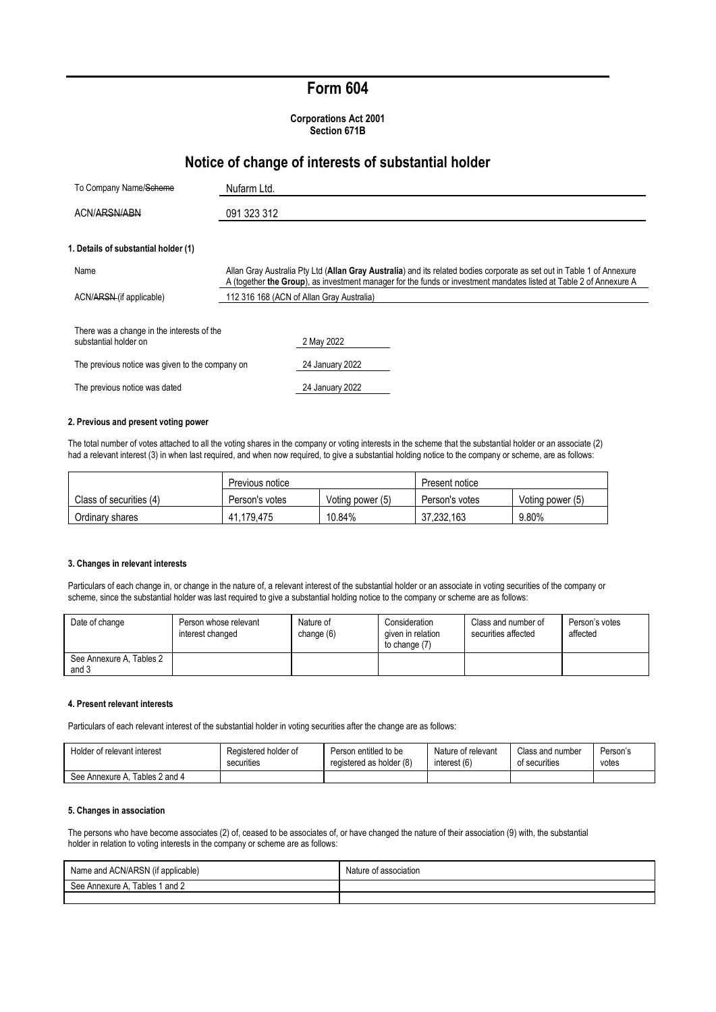## **Form 604**

**Corporations Act 2001 Section 671B**

## **Notice of change of interests of substantial holder**

| To Company Name/Scheme                                              | Nufarm Ltd. |                                                                                                                                                                                                                                              |
|---------------------------------------------------------------------|-------------|----------------------------------------------------------------------------------------------------------------------------------------------------------------------------------------------------------------------------------------------|
| ACN/ARSN/ABN                                                        |             |                                                                                                                                                                                                                                              |
| 1. Details of substantial holder (1)                                |             |                                                                                                                                                                                                                                              |
| Name                                                                |             | Allan Gray Australia Pty Ltd (Allan Gray Australia) and its related bodies corporate as set out in Table 1 of Annexure<br>A (together the Group), as investment manager for the funds or investment mandates listed at Table 2 of Annexure A |
| ACN/ARSN (if applicable)                                            |             | 112 316 168 (ACN of Allan Gray Australia)                                                                                                                                                                                                    |
| There was a change in the interests of the<br>substantial holder on |             | 2 May 2022                                                                                                                                                                                                                                   |
| The previous notice was given to the company on                     |             | 24 January 2022                                                                                                                                                                                                                              |
| The previous notice was dated                                       |             | 24 January 2022                                                                                                                                                                                                                              |

#### **2. Previous and present voting power**

The total number of votes attached to all the voting shares in the company or voting interests in the scheme that the substantial holder or an associate (2) had a relevant interest (3) in when last required, and when now required, to give a substantial holding notice to the company or scheme, are as follows:

|                         | Previous notice |                  | Present notice |                  |
|-------------------------|-----------------|------------------|----------------|------------------|
| Class of securities (4) | Person's votes  | Voting power (5) | Person's votes | Voting power (5) |
| Ordinary shares         | 41.179.475      | 10.84%           | 37.232.163     | 9.80%            |

#### **3. Changes in relevant interests**

Particulars of each change in, or change in the nature of, a relevant interest of the substantial holder or an associate in voting securities of the company or scheme, since the substantial holder was last required to give a substantial holding notice to the company or scheme are as follows:

| Date of change                    | Person whose relevant<br>interest changed | Nature of<br>change (6) | Consideration<br>given in relation<br>to change (7) | Class and number of<br>securities affected | Person's votes<br>affected |
|-----------------------------------|-------------------------------------------|-------------------------|-----------------------------------------------------|--------------------------------------------|----------------------------|
| See Annexure A, Tables 2<br>and 3 |                                           |                         |                                                     |                                            |                            |

#### **4. Present relevant interests**

Particulars of each relevant interest of the substantial holder in voting securities after the change are as follows:

| Holder of relevant interest       | Registered holder of | Person entitled to be    | Nature of relevant | Class and number | Person's |
|-----------------------------------|----------------------|--------------------------|--------------------|------------------|----------|
|                                   | securities           | registered as holder (8) | interest (6)       | of securities    | votes    |
| Tables 2 and 4<br>See Annexure A. |                      |                          |                    |                  |          |

#### **5. Changes in association**

The persons who have become associates (2) of, ceased to be associates of, or have changed the nature of their association (9) with, the substantial holder in relation to voting interests in the company or scheme are as follows:

| Name and ACN/ARSN (if applicable) | Nature of association |
|-----------------------------------|-----------------------|
| Tables 1 and 2<br>See Annexure A, |                       |
|                                   |                       |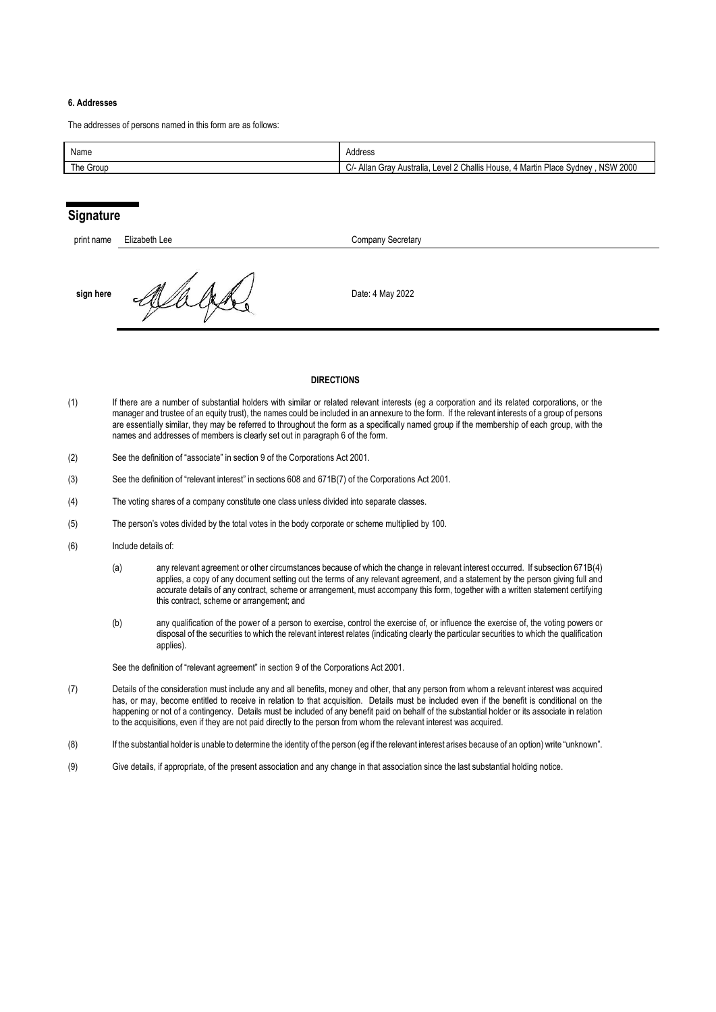#### **6. Addresses**

The addresses of persons named in this form are as follows:

| Name      | Address                                                                                                                |
|-----------|------------------------------------------------------------------------------------------------------------------------|
| The Group | <b>NSW 2000</b><br>? Challis House.<br>C/- Allan<br><sup>t</sup> Martin Place Svdnev<br>Level 2<br>Australia<br>. Grav |

## **Signature**

| print name | Elizabeth Lee | <b>Company Secretary</b> |
|------------|---------------|--------------------------|
| sign here  |               | Date: 4 May 2022         |

#### **DIRECTIONS**

- (1) If there are a number of substantial holders with similar or related relevant interests (eg a corporation and its related corporations, or the manager and trustee of an equity trust), the names could be included in an annexure to the form. If the relevant interests of a group of persons are essentially similar, they may be referred to throughout the form as a specifically named group if the membership of each group, with the names and addresses of members is clearly set out in paragraph 6 of the form.
- (2) See the definition of "associate" in section 9 of the Corporations Act 2001.
- (3) See the definition of "relevant interest" in sections 608 and 671B(7) of the Corporations Act 2001.
- (4) The voting shares of a company constitute one class unless divided into separate classes.
- (5) The person's votes divided by the total votes in the body corporate or scheme multiplied by 100.
- (6) Include details of:
	- (a) any relevant agreement or other circumstances because of which the change in relevant interest occurred. If subsection 671B(4) applies, a copy of any document setting out the terms of any relevant agreement, and a statement by the person giving full and accurate details of any contract, scheme or arrangement, must accompany this form, together with a written statement certifying this contract, scheme or arrangement; and
	- (b) any qualification of the power of a person to exercise, control the exercise of, or influence the exercise of, the voting powers or disposal of the securities to which the relevant interest relates (indicating clearly the particular securities to which the qualification applies).

See the definition of "relevant agreement" in section 9 of the Corporations Act 2001.

- (7) Details of the consideration must include any and all benefits, money and other, that any person from whom a relevant interest was acquired has, or may, become entitled to receive in relation to that acquisition. Details must be included even if the benefit is conditional on the happening or not of a contingency. Details must be included of any benefit paid on behalf of the substantial holder or its associate in relation to the acquisitions, even if they are not paid directly to the person from whom the relevant interest was acquired.
- (8) If the substantial holder is unable to determine the identity of the person (eg if the relevant interest arises because of an option) write "unknown".
- (9) Give details, if appropriate, of the present association and any change in that association since the last substantial holding notice.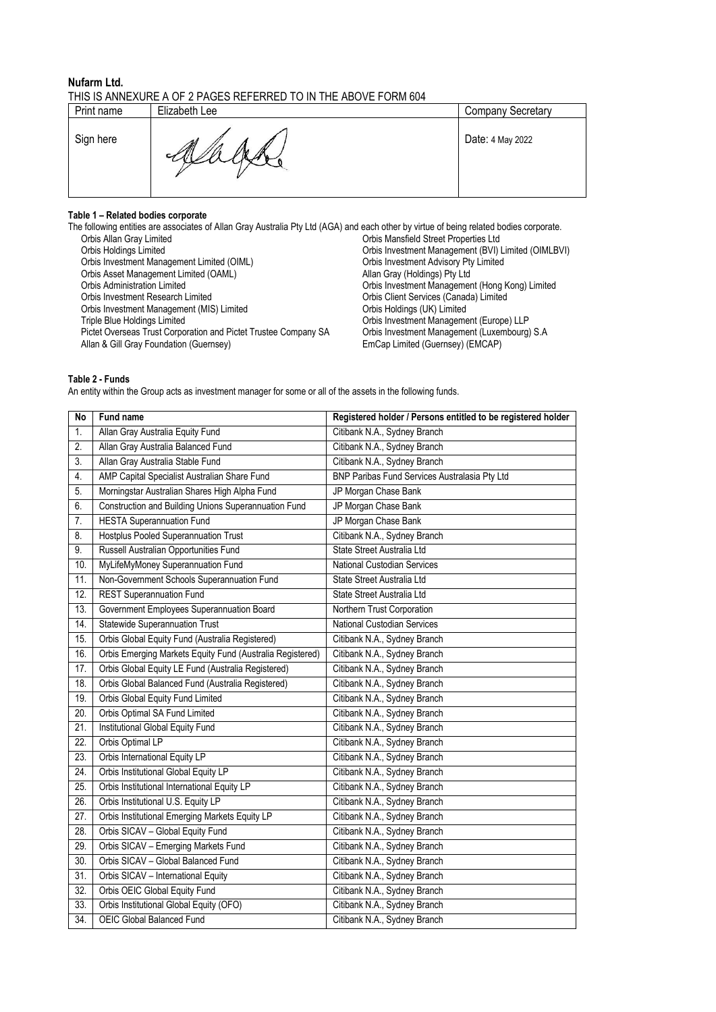### **Nufarm Ltd.**  THIS IS ANNEXURE A OF 2 PAGES REFERRED TO IN THE ABOVE FORM 604

| Print name | Elizabeth Lee      | Company Secretary |
|------------|--------------------|-------------------|
| Sign here  | M<br>$\mathscr{N}$ | Date: 4 May 2022  |

# **Table 1 – Related bodies corporate**

|                                                                 | The following entities are associates of Allan Gray Australia Pty Ltd (AGA) and each other by virtue of being related bodies corporate. |
|-----------------------------------------------------------------|-----------------------------------------------------------------------------------------------------------------------------------------|
| Orbis Allan Gray Limited                                        | Orbis Mansfield Street Properties Ltd                                                                                                   |
| Orbis Holdings Limited                                          | Orbis Investment Management (BVI) Limited (OIMLBVI)                                                                                     |
| Orbis Investment Management Limited (OIML)                      | Orbis Investment Advisory Pty Limited                                                                                                   |
| Orbis Asset Management Limited (OAML)                           | Allan Gray (Holdings) Pty Ltd                                                                                                           |
| <b>Orbis Administration Limited</b>                             | Orbis Investment Management (Hong Kong) Limited                                                                                         |
| Orbis Investment Research Limited                               | Orbis Client Services (Canada) Limited                                                                                                  |
| Orbis Investment Management (MIS) Limited                       | Orbis Holdings (UK) Limited                                                                                                             |
| Triple Blue Holdings Limited                                    | Orbis Investment Management (Europe) LLP                                                                                                |
| Pictet Overseas Trust Corporation and Pictet Trustee Company SA | Orbis Investment Management (Luxembourg) S.A.                                                                                           |
| Allan & Gill Gray Foundation (Guernsey)                         | EmCap Limited (Guernsey) (EMCAP)                                                                                                        |
|                                                                 |                                                                                                                                         |

## **Table 2 - Funds**

An entity within the Group acts as investment manager for some or all of the assets in the following funds.

| <b>No</b>         | Fund name                                                 | Registered holder / Persons entitled to be registered holder |
|-------------------|-----------------------------------------------------------|--------------------------------------------------------------|
| 1.                | Allan Gray Australia Equity Fund                          | Citibank N.A., Sydney Branch                                 |
| 2.                | Allan Gray Australia Balanced Fund                        | Citibank N.A., Sydney Branch                                 |
| 3.                | Allan Gray Australia Stable Fund                          | Citibank N.A., Sydney Branch                                 |
| $\overline{4}$ .  | AMP Capital Specialist Australian Share Fund              | BNP Paribas Fund Services Australasia Pty Ltd                |
| 5.                | Morningstar Australian Shares High Alpha Fund             | JP Morgan Chase Bank                                         |
| 6.                | Construction and Building Unions Superannuation Fund      | JP Morgan Chase Bank                                         |
| 7.                | <b>HESTA Superannuation Fund</b>                          | JP Morgan Chase Bank                                         |
| 8.                | <b>Hostplus Pooled Superannuation Trust</b>               | Citibank N.A., Sydney Branch                                 |
| 9.                | Russell Australian Opportunities Fund                     | State Street Australia Ltd                                   |
| 10.               | MyLifeMyMoney Superannuation Fund                         | National Custodian Services                                  |
| 11.               | Non-Government Schools Superannuation Fund                | State Street Australia Ltd                                   |
| 12.               | <b>REST Superannuation Fund</b>                           | State Street Australia Ltd                                   |
| 13.               | Government Employees Superannuation Board                 | Northern Trust Corporation                                   |
| 14.               | <b>Statewide Superannuation Trust</b>                     | National Custodian Services                                  |
| 15.               | Orbis Global Equity Fund (Australia Registered)           | Citibank N.A., Sydney Branch                                 |
| 16.               | Orbis Emerging Markets Equity Fund (Australia Registered) | Citibank N.A., Sydney Branch                                 |
| 17.               | Orbis Global Equity LE Fund (Australia Registered)        | Citibank N.A., Sydney Branch                                 |
| 18.               | Orbis Global Balanced Fund (Australia Registered)         | Citibank N.A., Sydney Branch                                 |
| 19.               | Orbis Global Equity Fund Limited                          | Citibank N.A., Sydney Branch                                 |
| 20.               | Orbis Optimal SA Fund Limited                             | Citibank N.A., Sydney Branch                                 |
| $\overline{21}$   | Institutional Global Equity Fund                          | Citibank N.A., Sydney Branch                                 |
| 22.               | Orbis Optimal LP                                          | Citibank N.A., Sydney Branch                                 |
| 23.               | Orbis International Equity LP                             | Citibank N.A., Sydney Branch                                 |
| 24.               | Orbis Institutional Global Equity LP                      | Citibank N.A., Sydney Branch                                 |
| 25.               | Orbis Institutional International Equity LP               | Citibank N.A., Sydney Branch                                 |
| 26.               | Orbis Institutional U.S. Equity LP                        | Citibank N.A., Sydney Branch                                 |
| 27.               | Orbis Institutional Emerging Markets Equity LP            | Citibank N.A., Sydney Branch                                 |
| 28.               | Orbis SICAV - Global Equity Fund                          | Citibank N.A., Sydney Branch                                 |
| 29.               | Orbis SICAV - Emerging Markets Fund                       | Citibank N.A., Sydney Branch                                 |
| 30.               | Orbis SICAV - Global Balanced Fund                        | Citibank N.A., Sydney Branch                                 |
| $\overline{31}$ . | Orbis SICAV - International Equity                        | Citibank N.A., Sydney Branch                                 |
| 32.               | Orbis OEIC Global Equity Fund                             | Citibank N.A., Sydney Branch                                 |
| 33.               | Orbis Institutional Global Equity (OFO)                   | Citibank N.A., Sydney Branch                                 |
| 34.               | OEIC Global Balanced Fund                                 | Citibank N.A., Sydney Branch                                 |